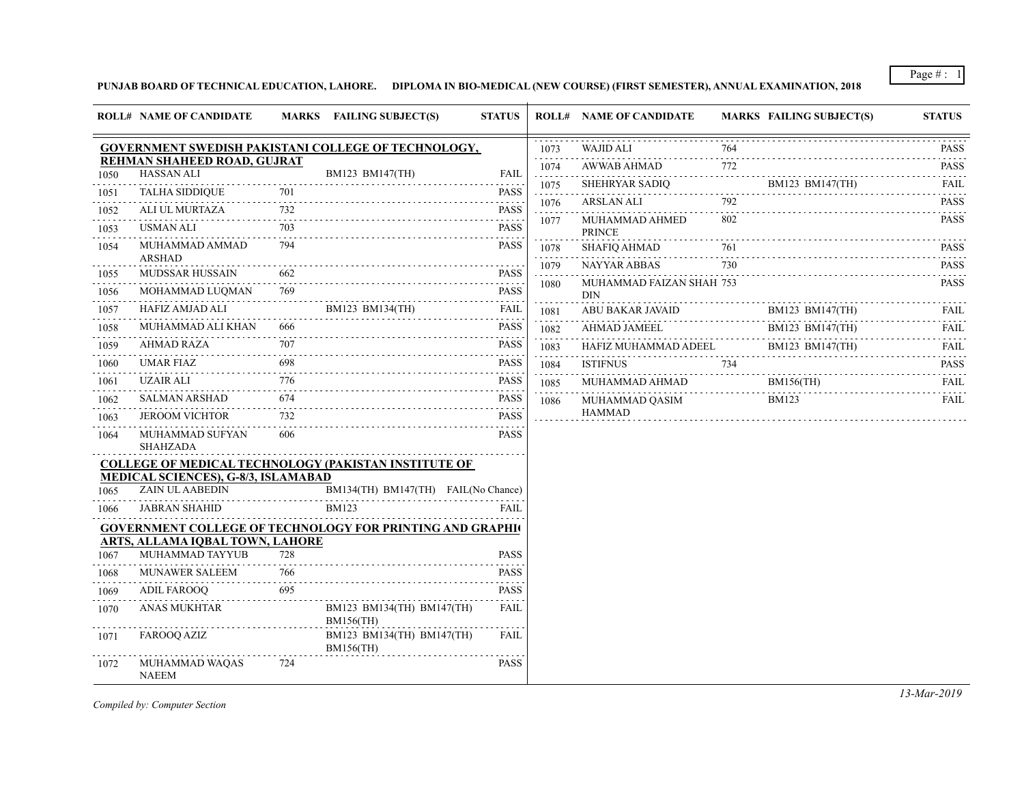Page  $\# : 1$ 

## **PUNJAB BOARD OF TECHNICAL EDUCATION, LAHORE. DIPLOMA IN BIO-MEDICAL (NEW COURSE) (FIRST SEMESTER), ANNUAL EXAMINATION, 2018**

|      | <b>ROLL# NAME OF CANDIDATE</b>                                                                     |          | MARKS FAILING SUBJECT(S)                      | <b>STATUS</b>       |                                            | <b>ROLL# NAME OF CANDIDATE</b>                                                     |     | <b>MARKS FAILING SUBJECT(S)</b>         | <b>STATUS</b>                                                                                                                                       |
|------|----------------------------------------------------------------------------------------------------|----------|-----------------------------------------------|---------------------|--------------------------------------------|------------------------------------------------------------------------------------|-----|-----------------------------------------|-----------------------------------------------------------------------------------------------------------------------------------------------------|
|      | GOVERNMENT SWEDISH PAKISTANI COLLEGE OF TECHNOLOGY,                                                |          |                                               |                     | 1073                                       | <b>WAJID ALI</b>                                                                   | 764 |                                         | <b>PASS</b>                                                                                                                                         |
| 1050 | REHMAN SHAHEED ROAD, GUJRAT<br><b>HASSAN ALI</b>                                                   |          | BM123 BM147(TH)                               | <b>FAIL</b>         | 1074                                       | AWWAB AHMAD                                                                        | 772 |                                         | <b>PASS</b>                                                                                                                                         |
| 1051 | TALHA SIDDIQUE                                                                                     |          |                                               | <b>PASS</b>         | 1075<br>$\sim$ $\sim$ $\sim$ $\sim$ $\sim$ | SHEHRYAR SADIQ                                                                     |     | BM123 BM147(TH)<br>$BM123 \, BM14/(TH)$ | <b>FAIL</b>                                                                                                                                         |
| 1052 | ALI UL MURTAZA                                                                                     | 732      | <u>JE 701</u> PASS                            | <b>PASS</b>         | 1076                                       | ARSLAN ALI                                                                         | 792 |                                         | <b>PASS</b><br>.                                                                                                                                    |
| 1053 | USMAN ALI                                                                                          | 703      |                                               | <b>PASS</b>         | 1077                                       | MUHAMMAD AHMED                                                                     | 802 |                                         | <b>PASS</b>                                                                                                                                         |
| 1054 | MUHAMMAD AMMAD                                                                                     | 794      |                                               | <b>PASS</b>         | 1078                                       | <b>PRINCE</b><br>SHAFIQ AHMAD                                                      | 761 |                                         | .<br><b>PASS</b>                                                                                                                                    |
|      | ARSHAD                                                                                             | 662      |                                               |                     | 1079                                       | NAYYAR ABBAS                                                                       | 730 |                                         | .<br><b>PASS</b>                                                                                                                                    |
| 1055 | MUDSSAR HUSSAIN                                                                                    | 769      |                                               | <b>PASS</b><br>PASS | 1080                                       | MUHAMMAD FAIZAN SHAH 753                                                           |     |                                         | <b>PASS</b>                                                                                                                                         |
| 1056 | MOHAMMAD LUQMAN<br>HAFIZ AMJAD ALI                                                                 |          | $\overrightarrow{\text{BMI23 BM134(TH)}}$     | FAIL                |                                            | <b>DIN</b>                                                                         |     |                                         |                                                                                                                                                     |
| 1057 | MUHAMMAD ALI KHAN                                                                                  | 666      |                                               | <b>PASS</b>         | 1081                                       | ABU BAKAR JAVAID                                                                   |     | BM123 BM147(TH)                         | <b>FAIL</b>                                                                                                                                         |
| 1058 | AHMAD RAZA                                                                                         | 707      |                                               | <b>PASS</b>         | 1082<br>$-2 - 2 - 2 - 2$                   | AHMAD JAMEEL                                                                       |     | BM123 BM147(TH)                         | FAIL                                                                                                                                                |
| 1059 | UMAR FIAZ                                                                                          | 698      |                                               | <b>PASS</b>         | 1083                                       | $\frac{\text{HAFIZ MUHAMMAD ADEEL}}{734} \quad \frac{\text{BM123 BM147(TH)}}{734}$ |     |                                         | <b>FAIL</b><br>$\begin{array}{cccccccccc} \bullet & \bullet & \bullet & \bullet & \bullet & \bullet & \bullet \end{array}$                          |
| 1060 |                                                                                                    | 776      |                                               |                     | 1084                                       |                                                                                    |     |                                         | <b>PASS</b><br>$\mathcal{L}^{\mathcal{A}}\left( \mathcal{A}^{\mathcal{A}}\right) =\mathcal{L}^{\mathcal{A}}\left( \mathcal{A}^{\mathcal{A}}\right)$ |
| 1061 | UZAIR ALI                                                                                          |          |                                               | <b>PASS</b>         | 1085                                       | MUHAMMAD AHMAD                                                                     |     | <b>BM156(TH)</b><br>                    | FAIL                                                                                                                                                |
| 1062 | SALMAN ARSHAD                                                                                      | 674      |                                               | <b>PASS</b><br>.    | 1086                                       | MUHAMMAD QASIM<br><b>HAMMAD</b>                                                    |     | <b>BM123</b>                            | FAIL                                                                                                                                                |
| 1063 | <b>JEROOM VICHTOR</b>                                                                              | 732      |                                               | <b>PASS</b>         |                                            |                                                                                    |     |                                         |                                                                                                                                                     |
| 1064 | MUHAMMAD SUFYAN<br>SHAHZADA                                                                        | 606      |                                               | <b>PASS</b>         |                                            |                                                                                    |     |                                         |                                                                                                                                                     |
|      | <b>COLLEGE OF MEDICAL TECHNOLOGY (PAKISTAN INSTITUTE OF</b>                                        |          |                                               |                     |                                            |                                                                                    |     |                                         |                                                                                                                                                     |
|      | MEDICAL SCIENCES), G-8/3, ISLAMABAD                                                                |          |                                               |                     |                                            |                                                                                    |     |                                         |                                                                                                                                                     |
| 1065 | ZAIN UL AABEDIN                                                                                    |          | BM134(TH) BM147(TH) FAIL(No Chance)           |                     |                                            |                                                                                    |     |                                         |                                                                                                                                                     |
| 1066 | JABRAN SHAHID                                                                                      |          | <b>BM123</b>                                  | FAIL                |                                            |                                                                                    |     |                                         |                                                                                                                                                     |
|      | <b>GOVERNMENT COLLEGE OF TECHNOLOGY FOR PRINTING AND GRAPHI</b><br>ARTS, ALLAMA IOBAL TOWN, LAHORE |          |                                               |                     |                                            |                                                                                    |     |                                         |                                                                                                                                                     |
| 1067 | MUHAMMAD TAYYUB                                                                                    | 728      |                                               | <b>PASS</b>         |                                            |                                                                                    |     |                                         |                                                                                                                                                     |
| 1068 | <b>MUNAWER SALEEM</b>                                                                              | .<br>766 |                                               | <b>PASS</b>         |                                            |                                                                                    |     |                                         |                                                                                                                                                     |
| 1069 | <b>ADIL FAROOQ</b>                                                                                 | 695      |                                               | <b>PASS</b>         |                                            |                                                                                    |     |                                         |                                                                                                                                                     |
| 1070 | ANAS MUKHTAR                                                                                       |          | BM123 BM134(TH) BM147(TH)<br><b>BM156(TH)</b> | <b>FAIL</b>         |                                            |                                                                                    |     |                                         |                                                                                                                                                     |
| 1071 | FAROOQ AZIZ                                                                                        |          | BM123 BM134(TH) BM147(TH)<br><b>BM156(TH)</b> | <b>FAIL</b>         |                                            |                                                                                    |     |                                         |                                                                                                                                                     |
| 1072 | MUHAMMAD WAQAS<br><b>NAEEM</b>                                                                     | 724      |                                               | <b>PASS</b>         |                                            |                                                                                    |     |                                         |                                                                                                                                                     |

*Compiled by: Computer Section*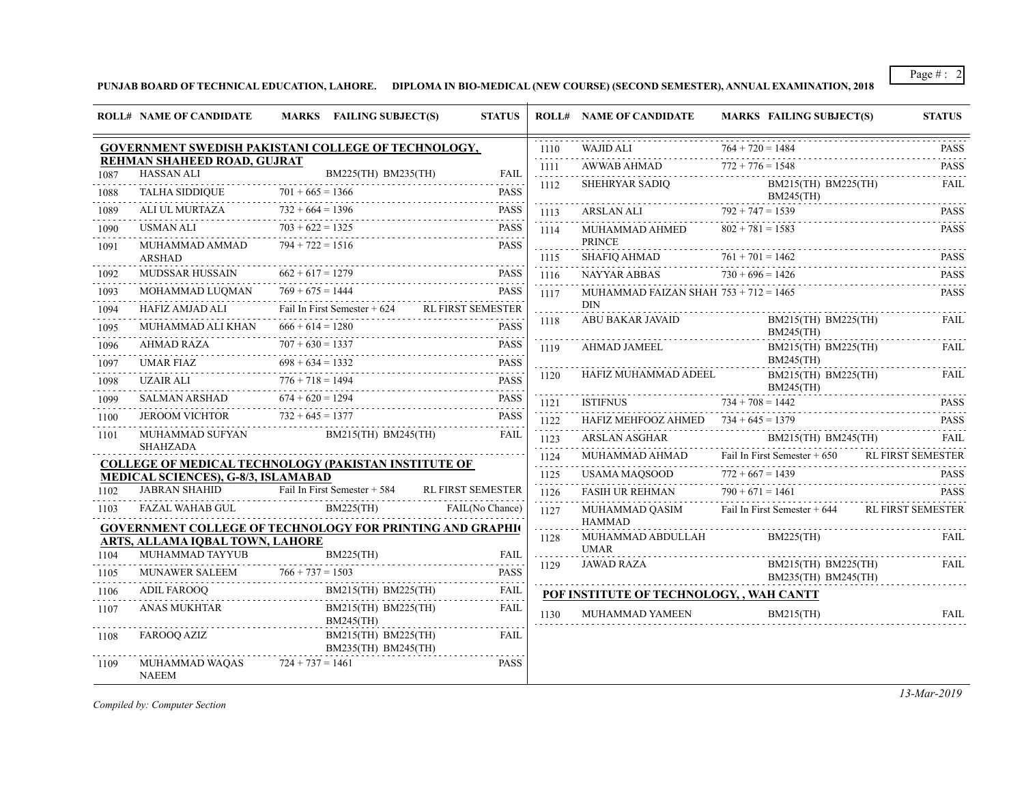Page # : 2

**PUNJAB BOARD OF TECHNICAL EDUCATION, LAHORE. DIPLOMA IN BIO-MEDICAL (NEW COURSE) (SECOND SEMESTER), ANNUAL EXAMINATION, 2018**

|                                                             | <b>ROLL# NAME OF CANDIDATE</b>                    | MARKS FAILING SUBJECT(S)                                                      | <b>STATUS</b>            |                      | <b>ROLL# NAME OF CANDIDATE</b>                                   | <b>MARKS FAILING SUBJECT(S)</b>                               | <b>STATUS</b>            |
|-------------------------------------------------------------|---------------------------------------------------|-------------------------------------------------------------------------------|--------------------------|----------------------|------------------------------------------------------------------|---------------------------------------------------------------|--------------------------|
|                                                             |                                                   | GOVERNMENT SWEDISH PAKISTANI COLLEGE OF TECHNOLOGY,                           |                          | 1110<br>.            | WAJID ALI                                                        | $764 + 720 = 1484$                                            | <b>PASS</b><br>.         |
| 1087                                                        | REHMAN SHAHEED ROAD, GUJRAT<br><b>HASSAN ALI</b>  | BM225(TH) BM235(TH)                                                           | <b>FAIL</b>              | 1111<br>.            |                                                                  | $AWWAB AHMAD$ $772 + 776 = 1548$ PASS PASS                    |                          |
| 1088                                                        |                                                   | HASSAN ALI BM225(TH) BM235(TH) FAIL<br>TALHA SIDDIQUE $701 + 665 = 1366$ PASS |                          | 1112                 |                                                                  | SHEHRYAR SADIQ<br>BM215(TH) BM225(TH)<br>BM245(TH)            | FAIL                     |
| 1089                                                        | ALI UL MURTAZA                                    | $732 + 664 = 1396$                                                            | PASS                     | 1113                 |                                                                  | ARSLAN ALI $792 + 747 = 1539$ PASS                            |                          |
| 1090                                                        | USMAN ALI                                         | $703 + 622 = 1325$                                                            | <b>PASS</b>              | 1114                 | MUHAMMAD AHMED                                                   | $802 + 781 = 1583$                                            | <b>PASS</b>              |
| 1091                                                        | MUHAMMAD AMMAD<br><b>ARSHAD</b>                   | $794 + 722 = 1516$                                                            | <b>PASS</b>              | .<br>1115            | <b>PRINCE</b><br>SHAFIQ AHMAD $761 + 701$                        | $761 + 701 = 1462$                                            | <b>PASS</b>              |
| 1092                                                        | MUDSSAR HUSSAIN                                   | $662 + 617 = 1279$<br>$2 + 617 = 1279$ PASS                                   | <b>PASS</b>              | 1116                 | NAYYAR ABBAS $730 + 696 = 1426$                                  |                                                               | <b>PASS</b>              |
| 1093                                                        | MOHAMMAD LUQMAN                                   | $769 + 675 = 1444$ PASS                                                       | <b>PASS</b>              | 1117                 | MUHAMMAD FAIZAN SHAH $753 + 712 = 1465$                          |                                                               | .<br>PASS                |
| 1094                                                        | HAFIZ AMJAD ALI                                   | Fail In First Semester + 624 RL FIRST SEMESTER                                |                          |                      | <b>DIN</b>                                                       |                                                               |                          |
| 1095                                                        | MUHAMMAD ALI KHAN                                 | $666 + 614 = 1280$<br>$666 + 614 = 1280$                                      |                          | 1118                 | ABU BAKAR JAVAID                                                 | BM215(TH) BM225(TH)<br>$BM245$ (TH)                           | <b>FAIL</b>              |
| 1096                                                        | AHMAD RAZA                                        | $707 + 630 = 1337$ PASS<br>AHMAD JAMEEL<br>1119                               |                          | BM215(TH) BM225(TH)  | <b>FAIL</b>                                                      |                                                               |                          |
| 1097                                                        | <b>UMAR FIAZ</b>                                  | $698 + 634 = 1332$<br>AR FIAZ 698 + 634 = 1332 PASS                           | <b>PASS</b>              |                      |                                                                  | <b>BM245(TH)</b>                                              |                          |
| 1098                                                        | UZAIR ALI                                         | $776 + 718 = 1494$                                                            | <b>PASS</b>              | 1120                 | HAFIZ MUHAMMAD ADEEL BM215<br>BM245<br>ISTIFNUS 734 + 708 = 1442 | BM215(TH) BM225(TH)<br>$BM245$ (TH)                           | <b>FAIL</b>              |
| 1099                                                        | SALMAN ARSHAD                                     | $674 + 620 = 1294$                                                            | <b>PASS</b>              | $-1 - 1 - 1$<br>1121 |                                                                  |                                                               | <b>PASS</b>              |
| 1100                                                        |                                                   | JEROOM VICHTOR $732 + 645 = 1377$ PASS                                        | <b>PASS</b>              | .<br>1122            | HAFIZ MEHFOOZ AHMED $734 + 645 = 1379$                           |                                                               | <b>PASS</b>              |
| 1101                                                        | MUHAMMAD SUFYAN<br>SHAHZADA                       | BM215(TH) BM245(TH)                                                           | FAIL                     | .<br>1123<br>.       | ARSLAN ASGHAR                                                    | BM215(TH) BM245(TH)                                           | FAIL                     |
| <b>COLLEGE OF MEDICAL TECHNOLOGY (PAKISTAN INSTITUTE OF</b> |                                                   |                                                                               |                          |                      |                                                                  | MUHAMMAD AHMAD Fail In First Semester + 650 RL FIRST SEMESTER |                          |
|                                                             | MEDICAL SCIENCES), G-8/3, ISLAMABAD               |                                                                               |                          | 1125<br>111111       | USAMA MAQSOOD                                                    | $772 + 667 = 1439$                                            | <b>PASS</b><br>.         |
| 1102                                                        | <b>JABRAN SHAHID</b>                              | Fail In First Semester + 584                                                  | <b>RL FIRST SEMESTER</b> | 1126                 | FASIH UR REHMAN $790 + 671 = 1461$                               |                                                               | <b>PASS</b>              |
| 1103                                                        | FAZAL WAHAB GUL                                   | $BM225$ (TH)                                                                  | FAIL(No Chance)          | 1127                 |                                                                  | MUHAMMAD QASIM Fail In First Semester + 644                   | <b>RL FIRST SEMESTER</b> |
|                                                             |                                                   | <b>GOVERNMENT COLLEGE OF TECHNOLOGY FOR PRINTING AND GRAPHI</b>               |                          | 2 2 2 2 2 3<br>1128  | <b>HAMMAD</b><br>MUHAMMAD ABDULLAH                               | $BM225$ (TH)                                                  | FAIL                     |
| 1104                                                        | ARTS, ALLAMA IQBAL TOWN, LAHORE                   | $BM225$ (TH)                                                                  | <b>FAIL</b>              | .                    | <b>UMAR</b>                                                      |                                                               |                          |
| 1105                                                        | MUHAMMAD TAYYUB                                   | $BM225(H)$ FAIL<br>MUNAWER SALEEM $766 + 737 = 1503$                          | <b>PASS</b>              | 1129                 | <b>JAWAD RAZA</b>                                                | BM215(TH) BM225(TH)<br>BM235(TH) BM245(TH)                    | <b>FAIL</b>              |
| 1106                                                        | <b>ADIL FAROOO</b><br>ADIL FAROOQ BM215(TH) I     | BM215(TH) BM225(TH)                                                           | FAIL                     |                      | POF INSTITUTE OF TECHNOLOGY, , WAH CANTT                         |                                                               |                          |
| 1107                                                        | ANAS MUKHTAR                                      | BM215(TH) BM225(TH)<br>$BM245$ (TH)                                           | .<br>FAIL                | 1130                 | MUHAMMAD YAMEEN                                                  | $BM215$ (TH)                                                  | FAIL                     |
| 1108                                                        | FAROOQ AZIZ                                       | BM215(TH) BM225(TH)<br>BM235(TH) BM245(TH)                                    | FAIL                     |                      |                                                                  |                                                               |                          |
| 1109                                                        | MUHAMMAD WAQAS $724 + 737 = 1461$<br><b>NAEEM</b> |                                                                               | <b>PASS</b>              |                      |                                                                  |                                                               |                          |

*Compiled by: Computer Section*